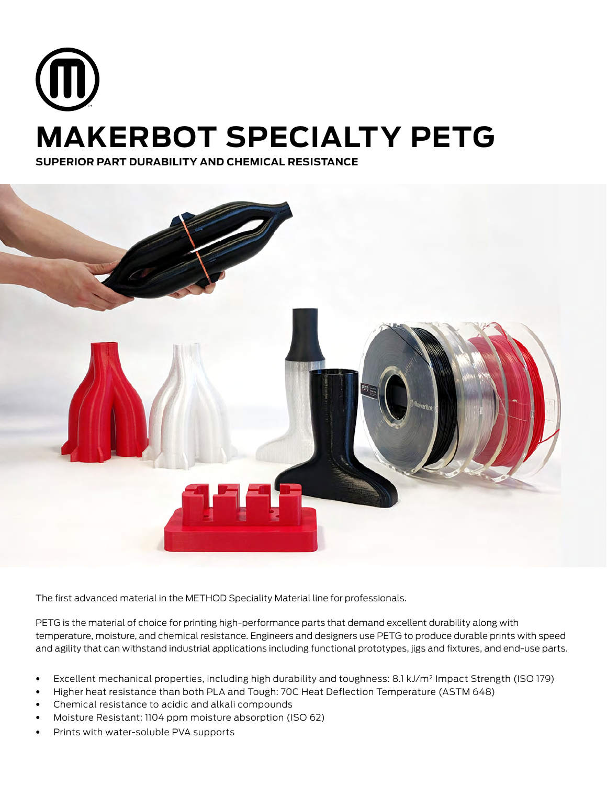# **MAKERBOT SPECIALTY PETG**

**SUPERIOR PART DURABILITY AND CHEMICAL RESISTANCE**



The first advanced material in the METHOD Speciality Material line for professionals.

PETG is the material of choice for printing high-performance parts that demand excellent durability along with temperature, moisture, and chemical resistance. Engineers and designers use PETG to produce durable prints with speed and agility that can withstand industrial applications including functional prototypes, jigs and fixtures, and end-use parts.

- Excellent mechanical properties, including high durability and toughness: 8.1 kJ/m² Impact Strength (ISO 179)
- Higher heat resistance than both PLA and Tough: 70C Heat Deflection Temperature (ASTM 648)
- Chemical resistance to acidic and alkali compounds
- Moisture Resistant: 1104 ppm moisture absorption (ISO 62)
- Prints with water-soluble PVA supports